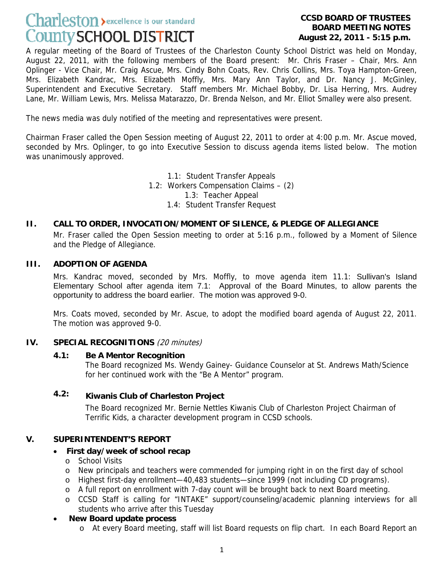# Charleston > excellence is our standard County SCHOOL DISTRICT

#### **CCSD BOARD OF TRUSTEES BOARD MEETING NOTES August 22, 2011 - 5:15 p.m.**

A regular meeting of the Board of Trustees of the Charleston County School District was held on Monday, August 22, 2011, with the following members of the Board present: Mr. Chris Fraser – Chair, Mrs. Ann Oplinger - Vice Chair, Mr. Craig Ascue, Mrs. Cindy Bohn Coats, Rev. Chris Collins, Mrs. Toya Hampton-Green, Mrs. Elizabeth Kandrac, Mrs. Elizabeth Moffly, Mrs. Mary Ann Taylor, and Dr. Nancy J. McGinley, Superintendent and Executive Secretary. Staff members Mr. Michael Bobby, Dr. Lisa Herring, Mrs. Audrey Lane, Mr. William Lewis, Mrs. Melissa Matarazzo, Dr. Brenda Nelson, and Mr. Elliot Smalley were also present.

The news media was duly notified of the meeting and representatives were present.

Chairman Fraser called the Open Session meeting of August 22, 2011 to order at 4:00 p.m. Mr. Ascue moved, seconded by Mrs. Oplinger, to go into Executive Session to discuss agenda items listed below. The motion was unanimously approved.

> 1.1: Student Transfer Appeals 1.2: Workers Compensation Claims – (2) 1.3: Teacher Appeal 1.4: Student Transfer Request

# **II. CALL TO ORDER, INVOCATION/MOMENT OF SILENCE, & PLEDGE OF ALLEGIANCE**

Mr. Fraser called the Open Session meeting to order at 5:16 p.m., followed by a Moment of Silence and the Pledge of Allegiance.

#### **III. ADOPTION OF AGENDA**

Mrs. Kandrac moved, seconded by Mrs. Moffly, to move agenda item 11.1: Sullivan's Island Elementary School after agenda item 7.1: Approval of the Board Minutes, to allow parents the opportunity to address the board earlier. The motion was approved 9-0.

Mrs. Coats moved, seconded by Mr. Ascue, to adopt the modified board agenda of August 22, 2011. The motion was approved 9-0.

# **IV. SPECIAL RECOGNITIONS** (20 minutes)

# **4.1: Be A Mentor Recognition**

The Board recognized Ms. Wendy Gainey- Guidance Counselor at St. Andrews Math/Science for her continued work with the "Be A Mentor" program.

# **4.2: Kiwanis Club of Charleston Project**

The Board recognized Mr. Bernie Nettles Kiwanis Club of Charleston Project Chairman of Terrific Kids, a character development program in CCSD schools.

# **V. SUPERINTENDENT'S REPORT**

# • **First day/week of school recap**

- o School Visits
- o New principals and teachers were commended for jumping right in on the first day of school
- o Highest first-day enrollment—40,483 students—since 1999 (not including CD programs).
- o A full report on enrollment with 7-day count will be brought back to next Board meeting.
- o CCSD Staff is calling for "INTAKE" support/counseling/academic planning interviews for all students who arrive after this Tuesday

# • **New Board update process**

o At every Board meeting, staff will list Board requests on flip chart. In each Board Report an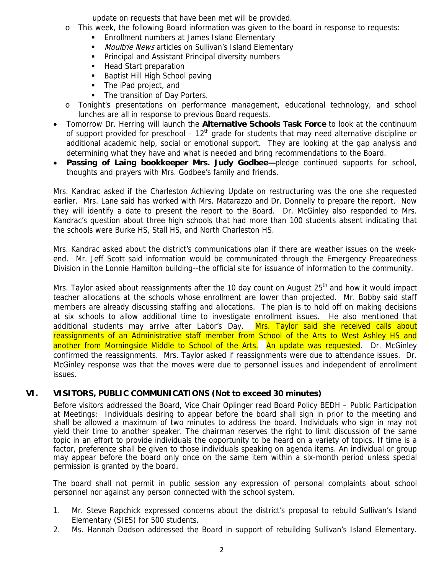update on requests that have been met will be provided.

- o This week, the following Board information was given to the board in response to requests:
	- Enrollment numbers at James Island Elementary
	- Moultrie News articles on Sullivan's Island Elementary
	- **Principal and Assistant Principal diversity numbers**
	- **Head Start preparation**
	- Baptist Hill High School paving
	- The iPad project, and
	- The transition of Day Porters.
- o Tonight's presentations on performance management, educational technology, and school lunches are all in response to previous Board requests.
- Tomorrow Dr. Herring will launch the **Alternative Schools Task Force** to look at the continuum of support provided for preschool –  $12<sup>th</sup>$  grade for students that may need alternative discipline or additional academic help, social or emotional support. They are looking at the gap analysis and determining what they have and what is needed and bring recommendations to the Board.
- **Passing of Laing bookkeeper Mrs. Judy Godbee—pledge continued supports for school,** thoughts and prayers with Mrs. Godbee's family and friends.

Mrs. Kandrac asked if the Charleston Achieving Update on restructuring was the one she requested earlier. Mrs. Lane said has worked with Mrs. Matarazzo and Dr. Donnelly to prepare the report. Now they will identify a date to present the report to the Board. Dr. McGinley also responded to Mrs. Kandrac's question about three high schools that had more than 100 students absent indicating that the schools were Burke HS, Stall HS, and North Charleston HS.

Mrs. Kandrac asked about the district's communications plan if there are weather issues on the weekend. Mr. Jeff Scott said information would be communicated through the Emergency Preparedness Division in the Lonnie Hamilton building--the official site for issuance of information to the community.

Mrs. Taylor asked about reassignments after the 10 day count on August 25<sup>th</sup> and how it would impact teacher allocations at the schools whose enrollment are lower than projected. Mr. Bobby said staff members are already discussing staffing and allocations. The plan is to hold off on making decisions at six schools to allow additional time to investigate enrollment issues. He also mentioned that additional students may arrive after Labor's Day. Mrs. Taylor said she received calls about reassignments of an Administrative staff member from School of the Arts to West Ashley HS and another from Morningside Middle to School of the Arts. An update was requested. Dr. McGinley confirmed the reassignments. Mrs. Taylor asked if reassignments were due to attendance issues. Dr. McGinley response was that the moves were due to personnel issues and independent of enrollment issues.

# **VI. VISITORS, PUBLIC COMMUNICATIONS (Not to exceed 30 minutes)**

Before visitors addressed the Board, Vice Chair Oplinger read Board Policy BEDH – Public Participation at Meetings: Individuals desiring to appear before the board shall sign in prior to the meeting and shall be allowed a maximum of two minutes to address the board. Individuals who sign in may not yield their time to another speaker. The chairman reserves the right to limit discussion of the same topic in an effort to provide individuals the opportunity to be heard on a variety of topics. If time is a factor, preference shall be given to those individuals speaking on agenda items. An individual or group may appear before the board only once on the same item within a six-month period unless special permission is granted by the board.

The board shall not permit in public session any expression of personal complaints about school personnel nor against any person connected with the school system.

- 1. Mr. Steve Rapchick expressed concerns about the district's proposal to rebuild Sullivan's Island Elementary (SIES) for 500 students.
- 2. Ms. Hannah Dodson addressed the Board in support of rebuilding Sullivan's Island Elementary.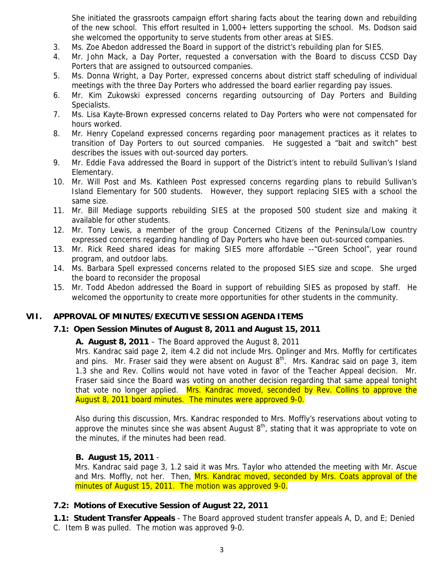She initiated the grassroots campaign effort sharing facts about the tearing down and rebuilding of the new school. This effort resulted in 1,000+ letters supporting the school. Ms. Dodson said she welcomed the opportunity to serve students from other areas at SIES.

- 3. Ms. Zoe Abedon addressed the Board in support of the district's rebuilding plan for SIES.
- 4. Mr. John Mack, a Day Porter, requested a conversation with the Board to discuss CCSD Day Porters that are assigned to outsourced companies.
- 5. Ms. Donna Wright, a Day Porter, expressed concerns about district staff scheduling of individual meetings with the three Day Porters who addressed the board earlier regarding pay issues.
- 6. Mr. Kim Zukowski expressed concerns regarding outsourcing of Day Porters and Building Specialists.
- 7. Ms. Lisa Kayte-Brown expressed concerns related to Day Porters who were not compensated for hours worked.
- 8. Mr. Henry Copeland expressed concerns regarding poor management practices as it relates to transition of Day Porters to out sourced companies. He suggested a "bait and switch" best describes the issues with out-sourced day porters.
- 9. Mr. Eddie Fava addressed the Board in support of the District's intent to rebuild Sullivan's Island Elementary.
- 10. Mr. Will Post and Ms. Kathleen Post expressed concerns regarding plans to rebuild Sullivan's Island Elementary for 500 students. However, they support replacing SIES with a school the same size.
- 11. Mr. Bill Mediage supports rebuilding SIES at the proposed 500 student size and making it available for other students.
- 12. Mr. Tony Lewis, a member of the group Concerned Citizens of the Peninsula/Low country expressed concerns regarding handling of Day Porters who have been out-sourced companies.
- 13. Mr. Rick Reed shared ideas for making SIES more affordable --"Green School", year round program, and outdoor labs.
- 14. Ms. Barbara Spell expressed concerns related to the proposed SIES size and scope. She urged the board to reconsider the proposal
- 15. Mr. Todd Abedon addressed the Board in support of rebuilding SIES as proposed by staff. He welcomed the opportunity to create more opportunities for other students in the community.

# **VII. APPROVAL OF MINUTES/EXECUTIVE SESSION AGENDA ITEMS**

# **7.1: Open Session Minutes of August 8, 2011 and August 15, 2011**

# **A. August 8, 2011** – The Board approved the August 8, 2011

Mrs. Kandrac said page 2, item 4.2 did not include Mrs. Oplinger and Mrs. Moffly for certificates and pins. Mr. Fraser said they were absent on August  $8<sup>th</sup>$ . Mrs. Kandrac said on page 3, item 1.3 she and Rev. Collins would not have voted in favor of the Teacher Appeal decision. Mr. Fraser said since the Board was voting on another decision regarding that same appeal tonight that vote no longer applied. Mrs. Kandrac moved, seconded by Rev. Collins to approve the August 8, 2011 board minutes. The minutes were approved 9-0.

Also during this discussion, Mrs. Kandrac responded to Mrs. Moffly's reservations about voting to approve the minutes since she was absent August  $8<sup>th</sup>$ , stating that it was appropriate to vote on the minutes, if the minutes had been read.

# **B. August 15, 2011** -

Mrs. Kandrac said page 3, 1.2 said it was Mrs. Taylor who attended the meeting with Mr. Ascue and Mrs. Moffly, not her. Then, Mrs. Kandrac moved, seconded by Mrs. Coats approval of the minutes of August 15, 2011. The motion was approved 9-0.

# **7.2: Motions of Executive Session of August 22, 2011**

 **1.1: Student Transfer Appeals** - The Board approved student transfer appeals A, D, and E; Denied

C. Item B was pulled. The motion was approved 9-0.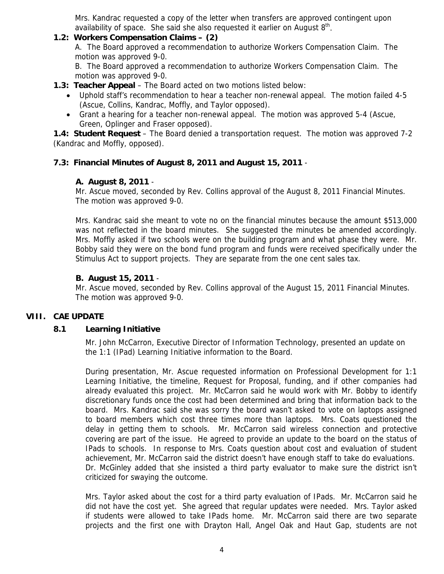Mrs. Kandrac requested a copy of the letter when transfers are approved contingent upon availability of space. She said she also requested it earlier on August  $8<sup>th</sup>$ .

# **1.2: Workers Compensation Claims – (2)**

A. The Board approved a recommendation to authorize Workers Compensation Claim. The motion was approved 9-0.

B. The Board approved a recommendation to authorize Workers Compensation Claim. The motion was approved 9-0.

# **1.3: Teacher Appeal** – The Board acted on two motions listed below:

- Uphold staff's recommendation to hear a teacher non-renewal appeal. The motion failed 4-5 (Ascue, Collins, Kandrac, Moffly, and Taylor opposed).
- Grant a hearing for a teacher non-renewal appeal. The motion was approved 5-4 (Ascue, Green, Oplinger and Fraser opposed).

**1.4: Student Request** – The Board denied a transportation request. The motion was approved 7-2 (Kandrac and Moffly, opposed).

# **7.3: Financial Minutes of August 8, 2011 and August 15, 2011** -

# **A. August 8, 2011** -

Mr. Ascue moved, seconded by Rev. Collins approval of the August 8, 2011 Financial Minutes. The motion was approved 9-0.

Mrs. Kandrac said she meant to vote no on the financial minutes because the amount \$513,000 was not reflected in the board minutes. She suggested the minutes be amended accordingly. Mrs. Moffly asked if two schools were on the building program and what phase they were. Mr. Bobby said they were on the bond fund program and funds were received specifically under the Stimulus Act to support projects. They are separate from the one cent sales tax.

# **B. August 15, 2011** -

Mr. Ascue moved, seconded by Rev. Collins approval of the August 15, 2011 Financial Minutes. The motion was approved 9-0.

# **VIII. CAE UPDATE**

# **8.1 Learning Initiative**

 Mr. John McCarron, Executive Director of Information Technology, presented an update on the 1:1 (IPad) Learning Initiative information to the Board.

During presentation, Mr. Ascue requested information on Professional Development for 1:1 Learning Initiative, the timeline, Request for Proposal, funding, and if other companies had already evaluated this project. Mr. McCarron said he would work with Mr. Bobby to identify discretionary funds once the cost had been determined and bring that information back to the board. Mrs. Kandrac said she was sorry the board wasn't asked to vote on laptops assigned to board members which cost three times more than laptops. Mrs. Coats questioned the delay in getting them to schools. Mr. McCarron said wireless connection and protective covering are part of the issue. He agreed to provide an update to the board on the status of IPads to schools. In response to Mrs. Coats question about cost and evaluation of student achievement, Mr. McCarron said the district doesn't have enough staff to take do evaluations. Dr. McGinley added that she insisted a third party evaluator to make sure the district isn't criticized for swaying the outcome.

Mrs. Taylor asked about the cost for a third party evaluation of IPads. Mr. McCarron said he did not have the cost yet. She agreed that regular updates were needed. Mrs. Taylor asked if students were allowed to take IPads home. Mr. McCarron said there are two separate projects and the first one with Drayton Hall, Angel Oak and Haut Gap, students are not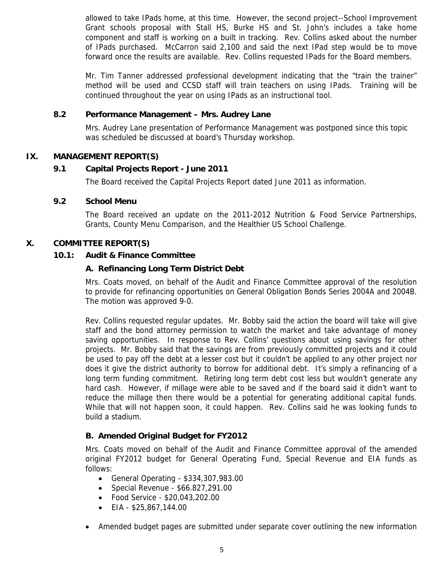allowed to take IPads home, at this time. However, the second project--School Improvement Grant schools proposal with Stall HS, Burke HS and St. John's includes a take home component and staff is working on a built in tracking. Rev. Collins asked about the number of IPads purchased. McCarron said 2,100 and said the next IPad step would be to move forward once the results are available. Rev. Collins requested IPads for the Board members.

Mr. Tim Tanner addressed professional development indicating that the "train the trainer" method will be used and CCSD staff will train teachers on using IPads. Training will be continued throughout the year on using IPads as an instructional tool.

# **8.2 Performance Management – Mrs. Audrey Lane**

 Mrs. Audrey Lane presentation of Performance Management was postponed since this topic was scheduled be discussed at board's Thursday workshop.

# **IX. MANAGEMENT REPORT(S)**

#### **9.1 Capital Projects Report - June 2011**

The Board received the Capital Projects Report dated June 2011 as information.

#### **9.2 School Menu**

 The Board received an update on the 2011-2012 Nutrition & Food Service Partnerships, Grants, County Menu Comparison, and the Healthier US School Challenge.

#### **X. COMMITTEE REPORT(S)**

#### **10.1: Audit & Finance Committee**

#### **A. Refinancing Long Term District Debt**

 Mrs. Coats moved, on behalf of the Audit and Finance Committee approval of the resolution to provide for refinancing opportunities on General Obligation Bonds Series 2004A and 2004B. The motion was approved 9-0.

Rev. Collins requested regular updates. Mr. Bobby said the action the board will take will give staff and the bond attorney permission to watch the market and take advantage of money saving opportunities. In response to Rev. Collins' questions about using savings for other projects. Mr. Bobby said that the savings are from previously committed projects and it could be used to pay off the debt at a lesser cost but it couldn't be applied to any other project nor does it give the district authority to borrow for additional debt. It's simply a refinancing of a long term funding commitment. Retiring long term debt cost less but wouldn't generate any hard cash. However, if millage were able to be saved and if the board said it didn't want to reduce the millage then there would be a potential for generating additional capital funds. While that will not happen soon, it could happen. Rev. Collins said he was looking funds to build a stadium.

# **B. Amended Original Budget for FY2012**

 Mrs. Coats moved on behalf of the Audit and Finance Committee approval of the amended original FY2012 budget for General Operating Fund, Special Revenue and EIA funds as follows:

- General Operating \$334,307,983.00
- Special Revenue \$66.827,291.00
- Food Service \$20,043,202.00
- EIA \$25,867,144.00
- Amended budget pages are submitted under separate cover outlining the new information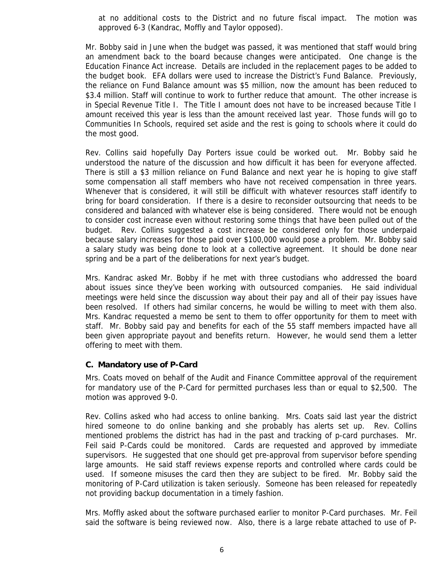at no additional costs to the District and no future fiscal impact. The motion was approved 6-3 (Kandrac, Moffly and Taylor opposed).

Mr. Bobby said in June when the budget was passed, it was mentioned that staff would bring an amendment back to the board because changes were anticipated. One change is the Education Finance Act increase. Details are included in the replacement pages to be added to the budget book. EFA dollars were used to increase the District's Fund Balance. Previously, the reliance on Fund Balance amount was \$5 million, now the amount has been reduced to \$3.4 million. Staff will continue to work to further reduce that amount. The other increase is in Special Revenue Title I. The Title I amount does not have to be increased because Title I amount received this year is less than the amount received last year. Those funds will go to Communities In Schools, required set aside and the rest is going to schools where it could do the most good.

Rev. Collins said hopefully Day Porters issue could be worked out. Mr. Bobby said he understood the nature of the discussion and how difficult it has been for everyone affected. There is still a \$3 million reliance on Fund Balance and next year he is hoping to give staff some compensation all staff members who have not received compensation in three years. Whenever that is considered, it will still be difficult with whatever resources staff identify to bring for board consideration. If there is a desire to reconsider outsourcing that needs to be considered and balanced with whatever else is being considered. There would not be enough to consider cost increase even without restoring some things that have been pulled out of the budget. Rev. Collins suggested a cost increase be considered only for those underpaid because salary increases for those paid over \$100,000 would pose a problem. Mr. Bobby said a salary study was being done to look at a collective agreement. It should be done near spring and be a part of the deliberations for next year's budget.

Mrs. Kandrac asked Mr. Bobby if he met with three custodians who addressed the board about issues since they've been working with outsourced companies. He said individual meetings were held since the discussion way about their pay and all of their pay issues have been resolved. If others had similar concerns, he would be willing to meet with them also. Mrs. Kandrac requested a memo be sent to them to offer opportunity for them to meet with staff. Mr. Bobby said pay and benefits for each of the 55 staff members impacted have all been given appropriate payout and benefits return. However, he would send them a letter offering to meet with them.

#### **C. Mandatory use of P-Card**

 Mrs. Coats moved on behalf of the Audit and Finance Committee approval of the requirement for mandatory use of the P-Card for permitted purchases less than or equal to \$2,500. The motion was approved 9-0.

Rev. Collins asked who had access to online banking. Mrs. Coats said last year the district hired someone to do online banking and she probably has alerts set up. Rev. Collins mentioned problems the district has had in the past and tracking of p-card purchases. Mr. Feil said P-Cards could be monitored. Cards are requested and approved by immediate supervisors. He suggested that one should get pre-approval from supervisor before spending large amounts. He said staff reviews expense reports and controlled where cards could be used. If someone misuses the card then they are subject to be fired. Mr. Bobby said the monitoring of P-Card utilization is taken seriously. Someone has been released for repeatedly not providing backup documentation in a timely fashion.

Mrs. Moffly asked about the software purchased earlier to monitor P-Card purchases. Mr. Feil said the software is being reviewed now. Also, there is a large rebate attached to use of P-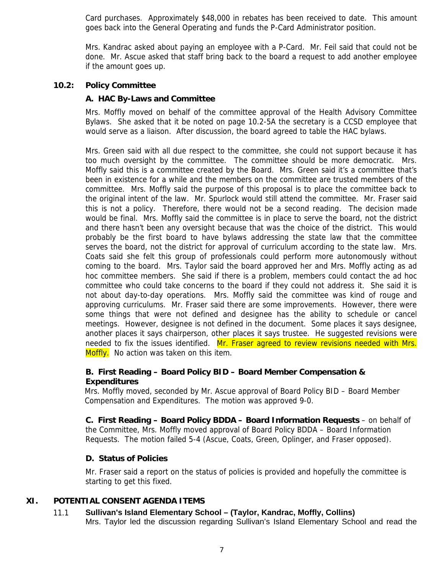Card purchases. Approximately \$48,000 in rebates has been received to date. This amount goes back into the General Operating and funds the P-Card Administrator position.

Mrs. Kandrac asked about paying an employee with a P-Card. Mr. Feil said that could not be done. Mr. Ascue asked that staff bring back to the board a request to add another employee if the amount goes up.

# **10.2: Policy Committee**

# **A. HAC By-Laws and Committee**

 Mrs. Moffly moved on behalf of the committee approval of the Health Advisory Committee Bylaws. She asked that it be noted on page 10.2-5A the secretary is a CCSD employee that would serve as a liaison. After discussion, the board agreed to table the HAC bylaws.

Mrs. Green said with all due respect to the committee, she could not support because it has too much oversight by the committee. The committee should be more democratic. Mrs. Moffly said this is a committee created by the Board. Mrs. Green said it's a committee that's been in existence for a while and the members on the committee are trusted members of the committee. Mrs. Moffly said the purpose of this proposal is to place the committee back to the original intent of the law. Mr. Spurlock would still attend the committee. Mr. Fraser said this is not a policy. Therefore, there would not be a second reading. The decision made would be final. Mrs. Moffly said the committee is in place to serve the board, not the district and there hasn't been any oversight because that was the choice of the district. This would probably be the first board to have bylaws addressing the state law that the committee serves the board, not the district for approval of curriculum according to the state law. Mrs. Coats said she felt this group of professionals could perform more autonomously without coming to the board. Mrs. Taylor said the board approved her and Mrs. Moffly acting as ad hoc committee members. She said if there is a problem, members could contact the ad hoc committee who could take concerns to the board if they could not address it. She said it is not about day-to-day operations. Mrs. Moffly said the committee was kind of rouge and approving curriculums. Mr. Fraser said there are some improvements. However, there were some things that were not defined and designee has the ability to schedule or cancel meetings. However, designee is not defined in the document. Some places it says designee, another places it says chairperson, other places it says trustee. He suggested revisions were needed to fix the issues identified. Mr. Fraser agreed to review revisions needed with Mrs. Moffly. No action was taken on this item.

# **B. First Reading – Board Policy BID – Board Member Compensation & Expenditures**

 Mrs. Moffly moved, seconded by Mr. Ascue approval of Board Policy BID – Board Member Compensation and Expenditures. The motion was approved 9-0.

**C. First Reading – Board Policy BDDA – Board Information Requests** – on behalf of the Committee, Mrs. Moffly moved approval of Board Policy BDDA – Board Information Requests. The motion failed 5-4 (Ascue, Coats, Green, Oplinger, and Fraser opposed).

# **D. Status of Policies**

 Mr. Fraser said a report on the status of policies is provided and hopefully the committee is starting to get this fixed.

# **XI. POTENTIAL CONSENT AGENDA ITEMS**

#### 11.1 **Sullivan's Island Elementary School – (Taylor, Kandrac, Moffly, Collins)**  Mrs. Taylor led the discussion regarding Sullivan's Island Elementary School and read the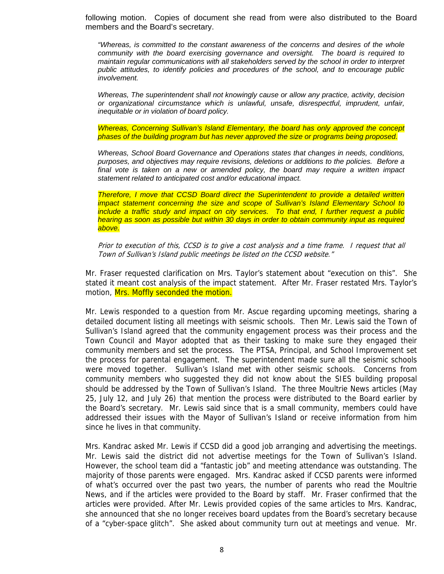following motion. Copies of document she read from were also distributed to the Board members and the Board's secretary.

*"Whereas, is committed to the constant awareness of the concerns and desires of the whole community with the board exercising governance and oversight. The board is required to maintain regular communications with all stakeholders served by the school in order to interpret public attitudes, to identify policies and procedures of the school, and to encourage public involvement.* 

*Whereas, The superintendent shall not knowingly cause or allow any practice, activity, decision or organizational circumstance which is unlawful, unsafe, disrespectful, imprudent, unfair, inequitable or in violation of board policy.* 

*Whereas, Concerning Sullivan's Island Elementary, the board has only approved the concept phases of the building program but has never approved the size or programs being proposed.* 

*Whereas, School Board Governance and Operations states that changes in needs, conditions, purposes, and objectives may require revisions, deletions or additions to the policies. Before a final vote is taken on a new or amended policy, the board may require a written impact statement related to anticipated cost and/or educational impact.* 

*Therefore, I move that CCSD Board direct the Superintendent to provide a detailed written impact statement concerning the size and scope of Sullivan's Island Elementary School to include a traffic study and impact on city services. To that end, I further request a public hearing as soon as possible but within 30 days in order to obtain community input as required above.* 

Prior to execution of this, CCSD is to give a cost analysis and a time frame. I request that all Town of Sullivan's Island public meetings be listed on the CCSD website."

Mr. Fraser requested clarification on Mrs. Taylor's statement about "execution on this". She stated it meant cost analysis of the impact statement. After Mr. Fraser restated Mrs. Taylor's motion, Mrs. Moffly seconded the motion.

Mr. Lewis responded to a question from Mr. Ascue regarding upcoming meetings, sharing a detailed document listing all meetings with seismic schools. Then Mr. Lewis said the Town of Sullivan's Island agreed that the community engagement process was their process and the Town Council and Mayor adopted that as their tasking to make sure they engaged their community members and set the process. The PTSA, Principal, and School Improvement set the process for parental engagement. The superintendent made sure all the seismic schools were moved together. Sullivan's Island met with other seismic schools. Concerns from community members who suggested they did not know about the SIES building proposal should be addressed by the Town of Sullivan's Island. The three Moultrie News articles (May 25, July 12, and July 26) that mention the process were distributed to the Board earlier by the Board's secretary. Mr. Lewis said since that is a small community, members could have addressed their issues with the Mayor of Sullivan's Island or receive information from him since he lives in that community.

Mrs. Kandrac asked Mr. Lewis if CCSD did a good job arranging and advertising the meetings. Mr. Lewis said the district did not advertise meetings for the Town of Sullivan's Island. However, the school team did a "fantastic job" and meeting attendance was outstanding. The majority of those parents were engaged. Mrs. Kandrac asked if CCSD parents were informed of what's occurred over the past two years, the number of parents who read the Moultrie News, and if the articles were provided to the Board by staff. Mr. Fraser confirmed that the articles were provided. After Mr. Lewis provided copies of the same articles to Mrs. Kandrac, she announced that she no longer receives board updates from the Board's secretary because of a "cyber-space glitch". She asked about community turn out at meetings and venue. Mr.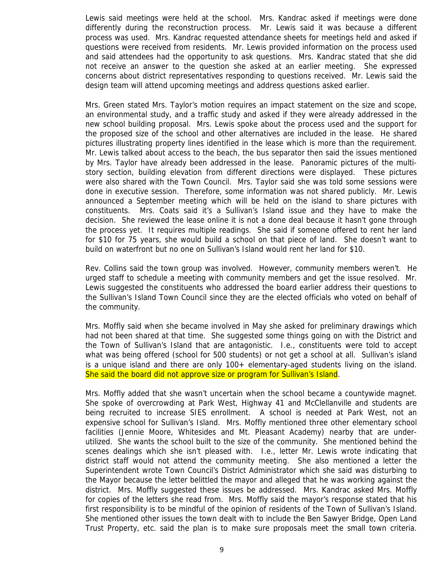Lewis said meetings were held at the school. Mrs. Kandrac asked if meetings were done differently during the reconstruction process. Mr. Lewis said it was because a different process was used. Mrs. Kandrac requested attendance sheets for meetings held and asked if questions were received from residents. Mr. Lewis provided information on the process used and said attendees had the opportunity to ask questions. Mrs. Kandrac stated that she did not receive an answer to the question she asked at an earlier meeting. She expressed concerns about district representatives responding to questions received. Mr. Lewis said the design team will attend upcoming meetings and address questions asked earlier.

Mrs. Green stated Mrs. Taylor's motion requires an impact statement on the size and scope, an environmental study, and a traffic study and asked if they were already addressed in the new school building proposal. Mrs. Lewis spoke about the process used and the support for the proposed size of the school and other alternatives are included in the lease. He shared pictures illustrating property lines identified in the lease which is more than the requirement. Mr. Lewis talked about access to the beach, the bus separator then said the issues mentioned by Mrs. Taylor have already been addressed in the lease. Panoramic pictures of the multistory section, building elevation from different directions were displayed. These pictures were also shared with the Town Council. Mrs. Taylor said she was told some sessions were done in executive session. Therefore, some information was not shared publicly. Mr. Lewis announced a September meeting which will be held on the island to share pictures with constituents. Mrs. Coats said it's a Sullivan's Island issue and they have to make the decision. She reviewed the lease online it is not a done deal because it hasn't gone through the process yet. It requires multiple readings. She said if someone offered to rent her land for \$10 for 75 years, she would build a school on that piece of land. She doesn't want to build on waterfront but no one on Sullivan's Island would rent her land for \$10.

Rev. Collins said the town group was involved. However, community members weren't. He urged staff to schedule a meeting with community members and get the issue resolved. Mr. Lewis suggested the constituents who addressed the board earlier address their questions to the Sullivan's Island Town Council since they are the elected officials who voted on behalf of the community.

Mrs. Moffly said when she became involved in May she asked for preliminary drawings which had not been shared at that time. She suggested some things going on with the District and the Town of Sullivan's Island that are antagonistic. I.e., constituents were told to accept what was being offered (school for 500 students) or not get a school at all. Sullivan's island is a unique island and there are only 100+ elementary-aged students living on the island. She said the board did not approve size or program for Sullivan's Island.

Mrs. Moffly added that she wasn't uncertain when the school became a countywide magnet. She spoke of overcrowding at Park West, Highway 41 and McClellanville and students are being recruited to increase SIES enrollment. A school is needed at Park West, not an expensive school for Sullivan's Island. Mrs. Moffly mentioned three other elementary school facilities (Jennie Moore, Whitesides and Mt. Pleasant Academy) nearby that are underutilized. She wants the school built to the size of the community. She mentioned behind the scenes dealings which she isn't pleased with. I.e., letter Mr. Lewis wrote indicating that district staff would not attend the community meeting. She also mentioned a letter the Superintendent wrote Town Council's District Administrator which she said was disturbing to the Mayor because the letter belittled the mayor and alleged that he was working against the district. Mrs. Moffly suggested these issues be addressed. Mrs. Kandrac asked Mrs. Moffly for copies of the letters she read from. Mrs. Moffly said the mayor's response stated that his first responsibility is to be mindful of the opinion of residents of the Town of Sullivan's Island. She mentioned other issues the town dealt with to include the Ben Sawyer Bridge, Open Land Trust Property, etc. said the plan is to make sure proposals meet the small town criteria.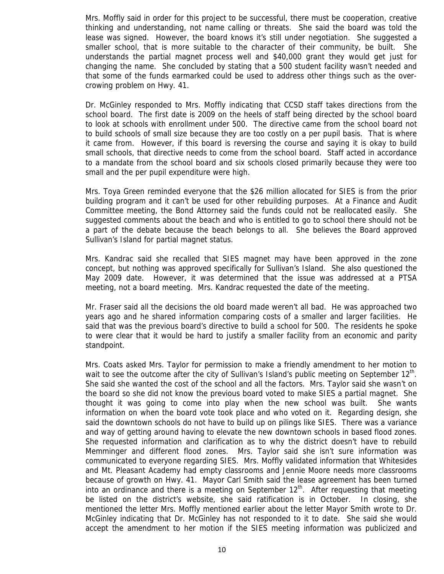Mrs. Moffly said in order for this project to be successful, there must be cooperation, creative thinking and understanding, not name calling or threats. She said the board was told the lease was signed. However, the board knows it's still under negotiation. She suggested a smaller school, that is more suitable to the character of their community, be built. She understands the partial magnet process well and \$40,000 grant they would get just for changing the name. She concluded by stating that a 500 student facility wasn't needed and that some of the funds earmarked could be used to address other things such as the overcrowing problem on Hwy. 41.

Dr. McGinley responded to Mrs. Moffly indicating that CCSD staff takes directions from the school board. The first date is 2009 on the heels of staff being directed by the school board to look at schools with enrollment under 500. The directive came from the school board not to build schools of small size because they are too costly on a per pupil basis. That is where it came from. However, if this board is reversing the course and saying it is okay to build small schools, that directive needs to come from the school board. Staff acted in accordance to a mandate from the school board and six schools closed primarily because they were too small and the per pupil expenditure were high.

Mrs. Toya Green reminded everyone that the \$26 million allocated for SIES is from the prior building program and it can't be used for other rebuilding purposes. At a Finance and Audit Committee meeting, the Bond Attorney said the funds could not be reallocated easily. She suggested comments about the beach and who is entitled to go to school there should not be a part of the debate because the beach belongs to all. She believes the Board approved Sullivan's Island for partial magnet status.

Mrs. Kandrac said she recalled that SIES magnet may have been approved in the zone concept, but nothing was approved specifically for Sullivan's Island. She also questioned the May 2009 date. However, it was determined that the issue was addressed at a PTSA meeting, not a board meeting. Mrs. Kandrac requested the date of the meeting.

Mr. Fraser said all the decisions the old board made weren't all bad. He was approached two years ago and he shared information comparing costs of a smaller and larger facilities. He said that was the previous board's directive to build a school for 500. The residents he spoke to were clear that it would be hard to justify a smaller facility from an economic and parity standpoint.

Mrs. Coats asked Mrs. Taylor for permission to make a friendly amendment to her motion to wait to see the outcome after the city of Sullivan's Island's public meeting on September 12<sup>th</sup>. She said she wanted the cost of the school and all the factors. Mrs. Taylor said she wasn't on the board so she did not know the previous board voted to make SIES a partial magnet. She thought it was going to come into play when the new school was built. She wants information on when the board vote took place and who voted on it. Regarding design, she said the downtown schools do not have to build up on pilings like SIES. There was a variance and way of getting around having to elevate the new downtown schools in based flood zones. She requested information and clarification as to why the district doesn't have to rebuild Memminger and different flood zones. Mrs. Taylor said she isn't sure information was communicated to everyone regarding SIES. Mrs. Moffly validated information that Whitesides and Mt. Pleasant Academy had empty classrooms and Jennie Moore needs more classrooms because of growth on Hwy. 41. Mayor Carl Smith said the lease agreement has been turned into an ordinance and there is a meeting on September 12<sup>th</sup>. After requesting that meeting be listed on the district's website, she said ratification is in October. In closing, she mentioned the letter Mrs. Moffly mentioned earlier about the letter Mayor Smith wrote to Dr. McGinley indicating that Dr. McGinley has not responded to it to date. She said she would accept the amendment to her motion if the SIES meeting information was publicized and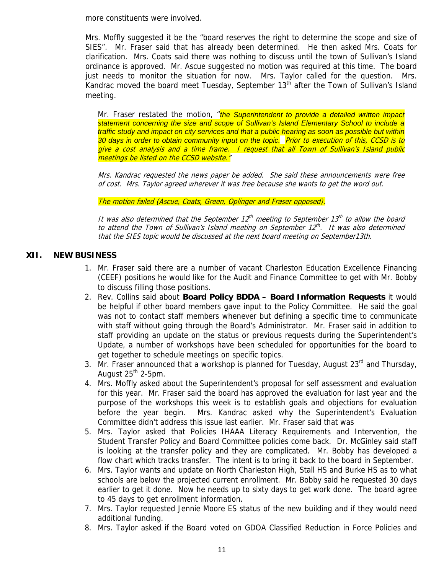more constituents were involved.

Mrs. Moffly suggested it be the "board reserves the right to determine the scope and size of SIES". Mr. Fraser said that has already been determined. He then asked Mrs. Coats for clarification. Mrs. Coats said there was nothing to discuss until the town of Sullivan's Island ordinance is approved. Mr. Ascue suggested no motion was required at this time. The board just needs to monitor the situation for now. Mrs. Taylor called for the question. Mrs. Kandrac moved the board meet Tuesday, September 13<sup>th</sup> after the Town of Sullivan's Island meeting.

Mr. Fraser restated the motion, "*the Superintendent to provide a detailed written impact statement concerning the size and scope of Sullivan's Island Elementary School to include a traffic study and impact on city services and that a public hearing as soon as possible but within 30 days in order to obtain community input on the topic.* Prior to execution of this, CCSD is to give a cost analysis and a time frame. I request that all Town of Sullivan's Island public meetings be listed on the CCSD website."

Mrs. Kandrac requested the news paper be added. She said these announcements were free of cost. Mrs. Taylor agreed wherever it was free because she wants to get the word out.

The motion failed (Ascue, Coats, Green, Oplinger and Fraser opposed).

It was also determined that the September  $12<sup>th</sup>$  meeting to September 1 $3<sup>th</sup>$  to allow the board to attend the Town of Sullivan's Island meeting on September  $12^{th}$ . It was also determined that the SIES topic would be discussed at the next board meeting on September13th.

# **XII. NEW BUSINESS**

- 1. Mr. Fraser said there are a number of vacant Charleston Education Excellence Financing (CEEF) positions he would like for the Audit and Finance Committee to get with Mr. Bobby to discuss filling those positions.
- 2. Rev. Collins said about **Board Policy BDDA Board Information Requests** it would be helpful if other board members gave input to the Policy Committee. He said the goal was not to contact staff members whenever but defining a specific time to communicate with staff without going through the Board's Administrator. Mr. Fraser said in addition to staff providing an update on the status or previous requests during the Superintendent's Update, a number of workshops have been scheduled for opportunities for the board to get together to schedule meetings on specific topics.
- 3. Mr. Fraser announced that a workshop is planned for Tuesday, August  $23<sup>rd</sup>$  and Thursday, August  $25<sup>th</sup>$  2-5pm.
- 4. Mrs. Moffly asked about the Superintendent's proposal for self assessment and evaluation for this year. Mr. Fraser said the board has approved the evaluation for last year and the purpose of the workshops this week is to establish goals and objections for evaluation before the year begin. Mrs. Kandrac asked why the Superintendent's Evaluation Committee didn't address this issue last earlier. Mr. Fraser said that was
- 5. Mrs. Taylor asked that Policies IHAAA Literacy Requirements and Intervention, the Student Transfer Policy and Board Committee policies come back. Dr. McGinley said staff is looking at the transfer policy and they are complicated. Mr. Bobby has developed a flow chart which tracks transfer. The intent is to bring it back to the board in September.
- 6. Mrs. Taylor wants and update on North Charleston High, Stall HS and Burke HS as to what schools are below the projected current enrollment. Mr. Bobby said he requested 30 days earlier to get it done. Now he needs up to sixty days to get work done. The board agree to 45 days to get enrollment information.
- 7. Mrs. Taylor requested Jennie Moore ES status of the new building and if they would need additional funding.
- 8. Mrs. Taylor asked if the Board voted on GDOA Classified Reduction in Force Policies and